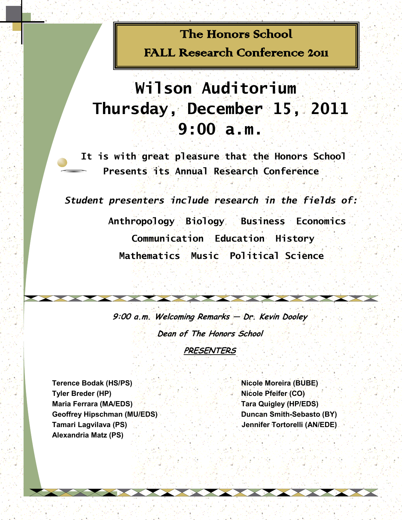# The Honors School FALL Research Conference 2011

# **Wilson Auditorium Thursday, December 15, 2011 9:00 a.m.**

**It is with great pleasure that the Honors School Presents its Annual Research Conference**

*Student presenters include research in the fields of:*

 **Anthropology Biology Business Economics Communication Education History Mathematics Music Political Science** 

**9:00 a.m. Welcoming Remarks — Dr. Kevin Dooley Dean of The Honors School PRESENTERS**

**Terence Bodak (HS/PS) Nicole Moreira (BUBE) Tyler Breder (HP) Nicole Pfeifer (CO) Maria Ferrara (MA/EDS) Tara Quigley (HP/EDS) Geoffrey Hipschman (MU/EDS) Duncan Smith-Sebasto (BY) Tamari Lagvilava (PS)** And the second second  $\mathbb{R}$  of the second  $\mathbb{R}$  dennifer Tortorelli (AN/EDE) **Alexandria Matz (PS)**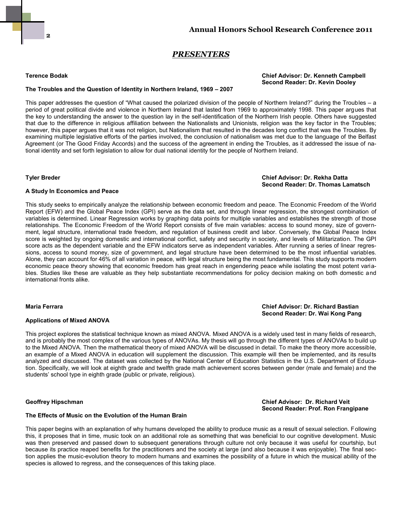### *PRESENTERS*

#### **Terence Bodak Chief Advisor: Dr. Kenneth Campbell Second Reader: Dr. Kevin Dooley**

### **The Troubles and the Question of Identity in Northern Ireland, 1969 – 2007**

This paper addresses the question of "What caused the polarized division of the people of Northern Ireland?" during the Troubles – a period of great political divide and violence in Northern Ireland that lasted from 1969 to approximately 1998. This paper argues that the key to understanding the answer to the question lay in the self-identification of the Northern Irish people. Others have suggested that due to the difference in religious affiliation between the Nationalists and Unionists, religion was the key factor in the Troubles; however, this paper argues that it was not religion, but Nationalism that resulted in the decades long conflict that was the Troubles. By examining multiple legislative efforts of the parties involved, the conclusion of nationalism was met due to the language of the Belfast Agreement (or The Good Friday Accords) and the success of the agreement in ending the Troubles, as it addressed the issue of national identity and set forth legislation to allow for dual national identity for the people of Northern Ireland.

#### **Tyler Breder Chief Advisor: Dr. Rekha Datta Second Reader: Dr. Thomas Lamatsch**

#### **A Study In Economics and Peace**

This study seeks to empirically analyze the relationship between economic freedom and peace. The Economic Freedom of the World Report (EFW) and the Global Peace Index (GPI) serve as the data set, and through linear regression, the strongest combination of variables is determined. Linear Regression works by graphing data points for multiple variables and establishes the strength of those relationships. The Economic Freedom of the World Report consists of five main variables: access to sound money, size of government, legal structure, international trade freedom, and regulation of business credit and labor. Conversely, the Global Peace Index score is weighted by ongoing domestic and international conflict, safety and security in society, and levels of Militarization. The GPI score acts as the dependent variable and the EFW indicators serve as independent variables. After running a series of linear regressions, access to sound money, size of government, and legal structure have been determined to be the most influential variables. Alone, they can account for 46% of all variation in peace, with legal structure being the most fundamental. This study supports modern economic peace theory showing that economic freedom has great reach in engendering peace while isolating the most potent variables. Studies like these are valuable as they help substantiate recommendations for policy decision making on both domestic and international fronts alike.

#### **Maria Ferrara Chief Advisor: Dr. Richard Bastian**

#### **Applications of Mixed ANOVA**

This project explores the statistical technique known as mixed ANOVA. Mixed ANOVA is a widely used test in many fields of research, and is probably the most complex of the various types of ANOVAs. My thesis will go through the different types of ANOVAs to build up to the Mixed ANOVA. Then the mathematical theory of mixed ANOVA will be discussed in detail. To make the theory more accessible, an example of a Mixed ANOVA in education will supplement the discussion. This example will then be implemented, and its results analyzed and discussed. The dataset was collected by the National Center of Education Statistics in the U.S. Department of Education. Specifically, we will look at eighth grade and twelfth grade math achievement scores between gender (male and female) and the students' school type in eighth grade (public or private, religious).

#### **Geoffrey Hipschman Chief Advisor: Dr. Richard Veit Second Reader: Prof. Ron Frangipane**

**Second Reader: Dr. Wai Kong Pang**

#### **The Effects of Music on the Evolution of the Human Brain**

This paper begins with an explanation of why humans developed the ability to produce music as a result of sexual selection. Following this, it proposes that in time, music took on an additional role as something that was beneficial to our cognitive development. Music was then preserved and passed down to subsequent generations through culture not only because it was useful for courtship, but because its practice reaped benefits for the practitioners and the society at large (and also because it was enjoyable). The final section applies the music-evolution theory to modern humans and examines the possibility of a future in which the musical ability of the species is allowed to regress, and the consequences of this taking place.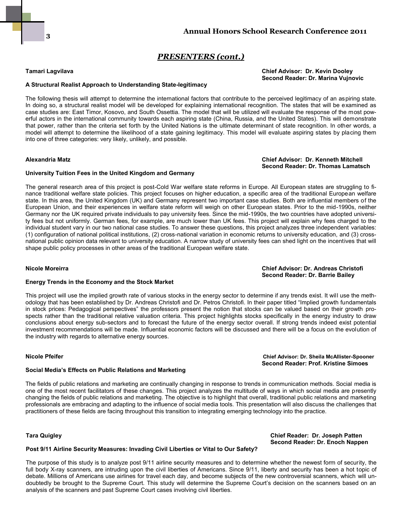### *PRESENTERS (cont.)*

#### **Tamari Lagvilava Chief Advisor: Dr. Kevin Dooley Second Reader: Dr. Marina Vujnovic**

### **A Structural Realist Approach to Understanding State-legitimacy**

The following thesis will attempt to determine the international factors that contribute to the perceived legitimacy of an aspiring state. In doing so, a structural realist model will be developed for explaining international recognition. The states that will be examined as case studies are: East Timor, Kosovo, and South Ossettia. The model that will be utilized will evaluate the response of the most powerful actors in the international community towards each aspiring state (China, Russia, and the United States). This will demonstrate that power, rather than the criteria set forth by the United Nations is the ultimate determinant of state recognition. In other words, a model will attempt to determine the likelihood of a state gaining legitimacy. This model will evaluate aspiring states by placing them into one of three categories: very likely, unlikely, and possible.

#### **Alexandria Matz Chief Advisor: Dr. Kenneth Mitchell Second Reader: Dr. Thomas Lamatsch**

### **University Tuition Fees in the United Kingdom and Germany**

The general research area of this project is post-Cold War welfare state reforms in Europe. All European states are struggling to finance traditional welfare state policies. This project focuses on higher education, a specific area of the traditional European welfare state. In this area, the United Kingdom (UK) and Germany represent two important case studies. Both are influential members of the European Union, and their experiences in welfare state reform will weigh on other European states. Prior to the mid-1990s, neither Germany nor the UK required private individuals to pay university fees. Since the mid-1990s, the two countries have adopted university fees but not uniformly. German fees, for example, are much lower than UK fees. This project will explain why fees charged to the individual student vary in our two national case studies. To answer these questions, this project analyzes three independent variables: (1) configuration of national political institutions, (2) cross-national variation in economic returns to university education, and (3) crossnational public opinion data relevant to university education. A narrow study of university fees can shed light on the incentives that will shape public policy processes in other areas of the traditional European welfare state.

**Nicole Moreirra Chief Advisor: Dr. Andreas Christofi Second Reader: Dr. Barrie Bailey** 

#### **Energy Trends in the Economy and the Stock Market**

This project will use the implied growth rate of various stocks in the energy sector to determine if any trends exist. It will use the methodology that has been established by Dr. Andreas Christofi and Dr. Petros Christofi. In their paper titled "Implied growth fundamentals in stock prices: Pedagogical perspectives" the professors present the notion that stocks can be valued based on their growth prospects rather than the traditional relative valuation criteria. This project highlights stocks specifically in the energy industry to draw conclusions about energy sub-sectors and to forecast the future of the energy sector overall. If strong trends indeed exist potential investment recommendations will be made. Influential economic factors will be discussed and there will be a focus on the evolution of the industry with regards to alternative energy sources.

**Nicole Pfeifer Chief Advisor: Dr. Sheila McAllister-Spooner Second Reader: Prof. Kristine Simoes**

 **Second Reader: Dr. Enoch Nappen**

#### **Social Media's Effects on Public Relations and Marketing**

The fields of public relations and marketing are continually changing in response to trends in communication methods. Social media is one of the most recent facilitators of these changes. This project analyzes the multitude of ways in which social media are presently changing the fields of public relations and marketing. The objective is to highlight that overall, traditional public relations and marketing professionals are embracing and adapting to the influence of social media tools. This presentation will also discuss the challenges that practitioners of these fields are facing throughout this transition to integrating emerging technology into the practice.

#### **Tara Quigley Chief Reader: Dr. Joseph Patten**

#### **Post 9/11 Airline Security Measures: Invading Civil Liberties or Vital to Our Safety?**

The purpose of this study is to analyze post 9/11 airline security measures and to determine whether the newest form of security, the full body X-ray scanners, are intruding upon the civil liberties of Americans. Since 9/11, liberty and security has been a hot topic of debate. Millions of Americans use airlines for travel each day, and become subjects of the new controversial scanners, which will undoubtedly be brought to the Supreme Court. This study will determine the Supreme Court's decision on the scanners based on an analysis of the scanners and past Supreme Court cases involving civil liberties.